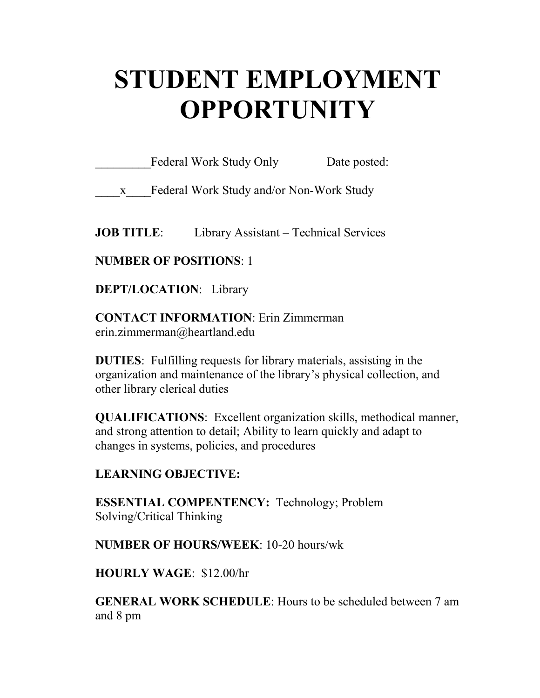# **STUDENT EMPLOYMENT OPPORTUNITY**

Federal Work Study Only Date posted:

\_\_\_\_x\_\_\_\_Federal Work Study and/or Non-Work Study

**JOB TITLE:** Library Assistant – Technical Services

**NUMBER OF POSITIONS**: 1

**DEPT/LOCATION**: Library

**CONTACT INFORMATION**: Erin Zimmerman erin.zimmerman@heartland.edu

**DUTIES**: Fulfilling requests for library materials, assisting in the organization and maintenance of the library's physical collection, and other library clerical duties

**QUALIFICATIONS**: Excellent organization skills, methodical manner, and strong attention to detail; Ability to learn quickly and adapt to changes in systems, policies, and procedures

# **LEARNING OBJECTIVE:**

**ESSENTIAL COMPENTENCY:** Technology; Problem Solving/Critical Thinking

**NUMBER OF HOURS/WEEK**: 10-20 hours/wk

**HOURLY WAGE**: \$12.00/hr

**GENERAL WORK SCHEDULE**: Hours to be scheduled between 7 am and 8 pm